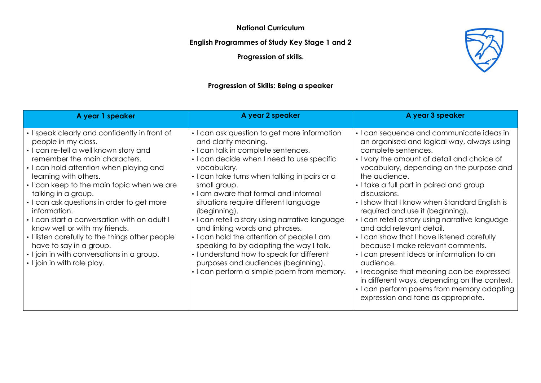**National Curriculum**

**English Programmes of Study Key Stage 1 and 2**

**Progression of skills.**

# **Progression of Skills: Being a speaker**

| A year 1 speaker                                                                                                                                                                                                                                                                                                                                                                                                                                                                                                                                                                                   | A year 2 speaker                                                                                                                                                                                                                                                                                                                                                                                                                                                                                                                                                                                                                                         | A year 3 speaker                                                                                                                                                                                                                                                                                                                                                                                                                                                                                                                                                                                                                                                                                                                                                                              |
|----------------------------------------------------------------------------------------------------------------------------------------------------------------------------------------------------------------------------------------------------------------------------------------------------------------------------------------------------------------------------------------------------------------------------------------------------------------------------------------------------------------------------------------------------------------------------------------------------|----------------------------------------------------------------------------------------------------------------------------------------------------------------------------------------------------------------------------------------------------------------------------------------------------------------------------------------------------------------------------------------------------------------------------------------------------------------------------------------------------------------------------------------------------------------------------------------------------------------------------------------------------------|-----------------------------------------------------------------------------------------------------------------------------------------------------------------------------------------------------------------------------------------------------------------------------------------------------------------------------------------------------------------------------------------------------------------------------------------------------------------------------------------------------------------------------------------------------------------------------------------------------------------------------------------------------------------------------------------------------------------------------------------------------------------------------------------------|
| • I speak clearly and confidently in front of<br>people in my class.<br>• I can re-tell a well known story and<br>remember the main characters.<br>• I can hold attention when playing and<br>learning with others.<br>. I can keep to the main topic when we are<br>talking in a group.<br>• I can ask questions in order to get more<br>information.<br>. I can start a conversation with an adult I<br>know well or with my friends.<br>• I listen carefully to the things other people<br>have to say in a group.<br>• I join in with conversations in a group.<br>• I join in with role play. | • I can ask question to get more information<br>and clarify meaning.<br>. I can talk in complete sentences.<br>I can decide when I need to use specific<br>vocabulary.<br>• I can take turns when talking in pairs or a<br>small group.<br>• I am aware that formal and informal<br>situations require different language<br>(beginning).<br>• I can retell a story using narrative language<br>and linking words and phrases.<br>. I can hold the attention of people I am<br>speaking to by adapting the way I talk.<br>• I understand how to speak for different<br>purposes and audiences (beginning).<br>• I can perform a simple poem from memory. | • I can sequence and communicate ideas in<br>an organised and logical way, always using<br>complete sentences.<br>• I vary the amount of detail and choice of<br>vocabulary, depending on the purpose and<br>the audience.<br>• I take a full part in paired and group<br>discussions.<br>• I show that I know when Standard English is<br>required and use it (beginning).<br>· I can retell a story using narrative language<br>and add relevant detail.<br>• I can show that I have listened carefully<br>because I make relevant comments.<br>• I can present ideas or information to an<br>audience.<br>• I recognise that meaning can be expressed<br>in different ways, depending on the context.<br>• I can perform poems from memory adapting<br>expression and tone as appropriate. |

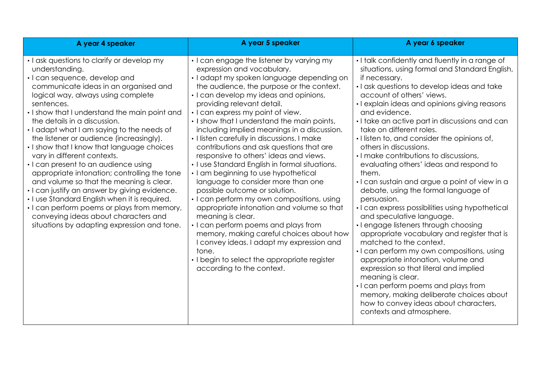| A year 4 speaker                                                                                                                                                                                                                                                                                                                                                                                                                                                                                                                                                                                                                                                                                                                                                                                                               | A year 5 speaker                                                                                                                                                                                                                                                                                                                                                                                                                                                                                                                                                                                                                                                                                                                                                                                                                                                                                                                                                                                                          | A year 6 speaker                                                                                                                                                                                                                                                                                                                                                                                                                                                                                                                                                                                                                                                                                                                                                                                                                                                                                                                                                                                                                                                                                                                               |  |
|--------------------------------------------------------------------------------------------------------------------------------------------------------------------------------------------------------------------------------------------------------------------------------------------------------------------------------------------------------------------------------------------------------------------------------------------------------------------------------------------------------------------------------------------------------------------------------------------------------------------------------------------------------------------------------------------------------------------------------------------------------------------------------------------------------------------------------|---------------------------------------------------------------------------------------------------------------------------------------------------------------------------------------------------------------------------------------------------------------------------------------------------------------------------------------------------------------------------------------------------------------------------------------------------------------------------------------------------------------------------------------------------------------------------------------------------------------------------------------------------------------------------------------------------------------------------------------------------------------------------------------------------------------------------------------------------------------------------------------------------------------------------------------------------------------------------------------------------------------------------|------------------------------------------------------------------------------------------------------------------------------------------------------------------------------------------------------------------------------------------------------------------------------------------------------------------------------------------------------------------------------------------------------------------------------------------------------------------------------------------------------------------------------------------------------------------------------------------------------------------------------------------------------------------------------------------------------------------------------------------------------------------------------------------------------------------------------------------------------------------------------------------------------------------------------------------------------------------------------------------------------------------------------------------------------------------------------------------------------------------------------------------------|--|
| • I ask questions to clarify or develop my<br>understanding.<br>· I can sequence, develop and<br>communicate ideas in an organised and<br>logical way, always using complete<br>sentences.<br>. I show that I understand the main point and<br>the details in a discussion.<br>. I adapt what I am saying to the needs of<br>the listener or audience (increasingly).<br>. I show that I know that language choices<br>vary in different contexts.<br>• I can present to an audience using<br>appropriate intonation; controlling the tone<br>and volume so that the meaning is clear.<br>. I can justify an answer by giving evidence.<br>. I use Standard English when it is required.<br>• I can perform poems or plays from memory,<br>conveying ideas about characters and<br>situations by adapting expression and tone. | • I can engage the listener by varying my<br>expression and vocabulary.<br>· I adapt my spoken language depending on<br>the audience, the purpose or the context.<br>• I can develop my ideas and opinions,<br>providing relevant detail.<br>• I can express my point of view.<br>. I show that I understand the main points,<br>including implied meanings in a discussion.<br>• I listen carefully in discussions. I make<br>contributions and ask questions that are<br>responsive to others' ideas and views.<br>. I use Standard English in formal situations.<br>• I am beginning to use hypothetical<br>language to consider more than one<br>possible outcome or solution.<br>• I can perform my own compositions, using<br>appropriate intonation and volume so that<br>meaning is clear.<br>• I can perform poems and plays from<br>memory, making careful choices about how<br>I convey ideas. I adapt my expression and<br>tone.<br>• I begin to select the appropriate register<br>according to the context. | . I talk confidently and fluently in a range of<br>situations, using formal and Standard English,<br>if necessary.<br>. I ask questions to develop ideas and take<br>account of others' views.<br>• I explain ideas and opinions giving reasons<br>and evidence.<br>· I take an active part in discussions and can<br>take on different roles.<br>. I listen to, and consider the opinions of,<br>others in discussions.<br>. I make contributions to discussions,<br>evaluating others' ideas and respond to<br>them.<br>. I can sustain and argue a point of view in a<br>debate, using the formal language of<br>persuasion.<br>• I can express possibilities using hypothetical<br>and speculative language.<br>• I engage listeners through choosing<br>appropriate vocabulary and register that is<br>matched to the context.<br>• I can perform my own compositions, using<br>appropriate intonation, volume and<br>expression so that literal and implied<br>meaning is clear.<br>· I can perform poems and plays from<br>memory, making deliberate choices about<br>how to convey ideas about characters,<br>contexts and atmosphere. |  |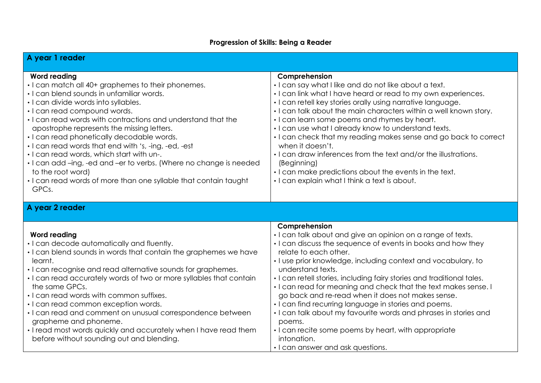# **Progression of Skills: Being a Reader**

| A year 1 reader                                                                                                                                                                                                                                                                                                                                                                                                                                                                                                                                                                                                                         |                                                                                                                                                                                                                                                                                                                                                                                                                                                                                                                                                                                                                                                                                                                  |
|-----------------------------------------------------------------------------------------------------------------------------------------------------------------------------------------------------------------------------------------------------------------------------------------------------------------------------------------------------------------------------------------------------------------------------------------------------------------------------------------------------------------------------------------------------------------------------------------------------------------------------------------|------------------------------------------------------------------------------------------------------------------------------------------------------------------------------------------------------------------------------------------------------------------------------------------------------------------------------------------------------------------------------------------------------------------------------------------------------------------------------------------------------------------------------------------------------------------------------------------------------------------------------------------------------------------------------------------------------------------|
| <b>Word reading</b><br>• I can match all 40+ graphemes to their phonemes.<br>· I can blend sounds in unfamiliar words.<br>· I can divide words into syllables.<br>· I can read compound words.<br>. I can read words with contractions and understand that the<br>apostrophe represents the missing letters.<br>• I can read phonetically decodable words.<br>• I can read words that end with 's, -ing, -ed, -est<br>. I can read words, which start with un-.<br>· I can add -ing, -ed and -er to verbs. (Where no change is needed<br>to the root word)<br>. I can read words of more than one syllable that contain taught<br>GPCs. | Comprehension<br>. I can say what I like and do not like about a text.<br>. I can link what I have heard or read to my own experiences.<br>· I can retell key stories orally using narrative language.<br>. I can talk about the main characters within a well known story.<br>• I can learn some poems and rhymes by heart.<br>. I can use what I already know to understand texts.<br>• I can check that my reading makes sense and go back to correct<br>when it doesn't.<br>. I can draw inferences from the text and/or the illustrations.<br>(Beginning)<br>. I can make predictions about the events in the text.<br>. I can explain what I think a text is about.                                        |
| A year 2 reader                                                                                                                                                                                                                                                                                                                                                                                                                                                                                                                                                                                                                         |                                                                                                                                                                                                                                                                                                                                                                                                                                                                                                                                                                                                                                                                                                                  |
| <b>Word reading</b><br>· I can decode automatically and fluently.<br>. I can blend sounds in words that contain the graphemes we have<br>learnt.<br>• I can recognise and read alternative sounds for graphemes.<br>• I can read accurately words of two or more syllables that contain<br>the same GPCs.<br>. I can read words with common suffixes.<br>· I can read common exception words.<br>· I can read and comment on unusual correspondence between<br>grapheme and phoneme.<br>. I read most words quickly and accurately when I have read them<br>before without sounding out and blending.                                   | Comprehension<br>· I can talk about and give an opinion on a range of texts.<br>• I can discuss the sequence of events in books and how they<br>relate to each other.<br>· I use prior knowledge, including context and vocabulary, to<br>understand texts.<br>. I can retell stories, including fairy stories and traditional tales.<br>• I can read for meaning and check that the text makes sense. I<br>go back and re-read when it does not makes sense.<br>• I can find recurring language in stories and poems.<br>. I can talk about my favourite words and phrases in stories and<br>poems.<br>• I can recite some poems by heart, with appropriate<br>intonation.<br>• I can answer and ask questions. |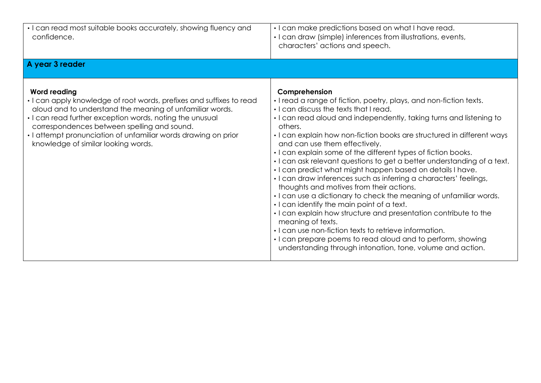| • I can read most suitable books accurately, showing fluency and<br>confidence.                                                                                                                                                                                                                                                                                             | · I can make predictions based on what I have read.<br>• I can draw (simple) inferences from illustrations, events,<br>characters' actions and speech.                                                                                                                                                                                                                                                                                                                                                                                                                                                                                                                                                                                                                                                                                                                                                                                                                                                                                                    |
|-----------------------------------------------------------------------------------------------------------------------------------------------------------------------------------------------------------------------------------------------------------------------------------------------------------------------------------------------------------------------------|-----------------------------------------------------------------------------------------------------------------------------------------------------------------------------------------------------------------------------------------------------------------------------------------------------------------------------------------------------------------------------------------------------------------------------------------------------------------------------------------------------------------------------------------------------------------------------------------------------------------------------------------------------------------------------------------------------------------------------------------------------------------------------------------------------------------------------------------------------------------------------------------------------------------------------------------------------------------------------------------------------------------------------------------------------------|
| A year 3 reader                                                                                                                                                                                                                                                                                                                                                             |                                                                                                                                                                                                                                                                                                                                                                                                                                                                                                                                                                                                                                                                                                                                                                                                                                                                                                                                                                                                                                                           |
| <b>Word reading</b><br>• I can apply knowledge of root words, prefixes and suffixes to read<br>aloud and to understand the meaning of unfamiliar words.<br>• I can read further exception words, noting the unusual<br>correspondences between spelling and sound.<br>• I attempt pronunciation of unfamiliar words drawing on prior<br>knowledge of similar looking words. | Comprehension<br>. I read a range of fiction, poetry, plays, and non-fiction texts.<br>. I can discuss the texts that I read.<br>• I can read aloud and independently, taking turns and listening to<br>others.<br>. I can explain how non-fiction books are structured in different ways<br>and can use them effectively.<br>• I can explain some of the different types of fiction books.<br>. I can ask relevant questions to get a better understanding of a text.<br>. I can predict what might happen based on details I have.<br>· I can draw inferences such as inferring a characters' feelings,<br>thoughts and motives from their actions.<br>. I can use a dictionary to check the meaning of unfamiliar words.<br>. I can identify the main point of a text.<br>. I can explain how structure and presentation contribute to the<br>meaning of texts.<br>• I can use non-fiction texts to retrieve information.<br>• I can prepare poems to read aloud and to perform, showing<br>understanding through intonation, tone, volume and action. |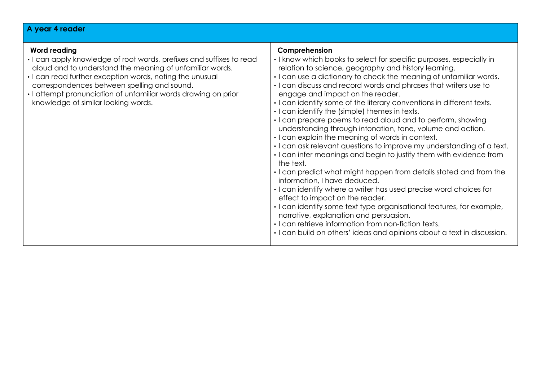### **A year 4 reader**

#### **Word reading**  • I can apply knowledge of root words, prefixes and suffixes to read aloud and to understand the meaning of unfamiliar words. • I can read further exception words, noting the unusual correspondences between spelling and sound. • I attempt pronunciation of unfamiliar words drawing on prior knowledge of similar looking words. **Comprehension**  • I know which books to select for specific purposes, especially in relation to science, geography and history learning. • I can use a dictionary to check the meaning of unfamiliar words. • I can discuss and record words and phrases that writers use to engage and impact on the reader. • I can identify some of the literary conventions in different texts. • I can identify the (simple) themes in texts. • I can prepare poems to read aloud and to perform, showing understanding through intonation, tone, volume and action. • I can explain the meaning of words in context. • I can ask relevant questions to improve my understanding of a text. • I can infer meanings and begin to justify them with evidence from the text. • I can predict what might happen from details stated and from the information, I have deduced. • I can identify where a writer has used precise word choices for effect to impact on the reader. • I can identify some text type organisational features, for example, narrative, explanation and persuasion. • I can retrieve information from non-fiction texts. • I can build on others' ideas and opinions about a text in discussion.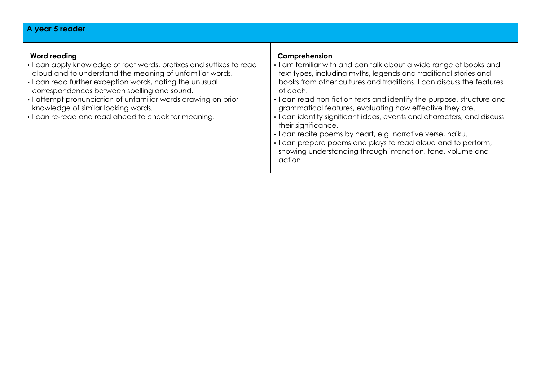# **A year 5 reader**

| • I can read non-fiction texts and identify the purpose, structure and<br>grammatical features, evaluating how effective they are.<br>knowledge of similar looking words.<br>· I can identify significant ideas, events and characters; and discuss<br>their significance.<br>· I can recite poems by heart, e.g. narrative verse, haiku.<br>. I can prepare poems and plays to read aloud and to perform,<br>showing understanding through intonation, tone, volume and<br>action. | Word reading<br>• I can apply knowledge of root words, prefixes and suffixes to read<br>aloud and to understand the meaning of unfamiliar words.<br>• I can read further exception words, noting the unusual<br>correspondences between spelling and sound.<br>• I attempt pronunciation of unfamiliar words drawing on prior<br>• I can re-read and read ahead to check for meaning. | Comprehension<br>. I am familiar with and can talk about a wide range of books and<br>text types, including myths, legends and traditional stories and<br>books from other cultures and traditions. I can discuss the features<br>of each. |
|-------------------------------------------------------------------------------------------------------------------------------------------------------------------------------------------------------------------------------------------------------------------------------------------------------------------------------------------------------------------------------------------------------------------------------------------------------------------------------------|---------------------------------------------------------------------------------------------------------------------------------------------------------------------------------------------------------------------------------------------------------------------------------------------------------------------------------------------------------------------------------------|--------------------------------------------------------------------------------------------------------------------------------------------------------------------------------------------------------------------------------------------|
|-------------------------------------------------------------------------------------------------------------------------------------------------------------------------------------------------------------------------------------------------------------------------------------------------------------------------------------------------------------------------------------------------------------------------------------------------------------------------------------|---------------------------------------------------------------------------------------------------------------------------------------------------------------------------------------------------------------------------------------------------------------------------------------------------------------------------------------------------------------------------------------|--------------------------------------------------------------------------------------------------------------------------------------------------------------------------------------------------------------------------------------------|

Τ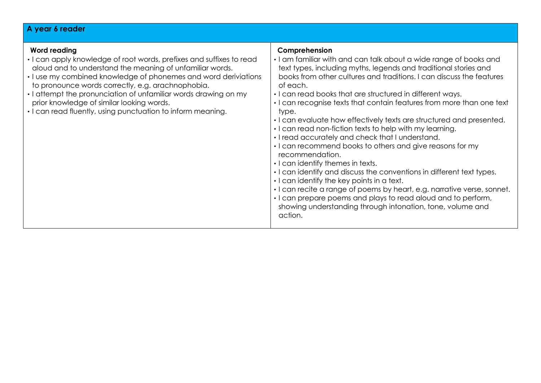#### **A year 6 reader Word reading**  • I can apply knowledge of root words, prefixes and suffixes to read aloud and to understand the meaning of unfamiliar words. • I use my combined knowledge of phonemes and word deriviations to pronounce words correctly, e.g. arachnophobia. • I attempt the pronunciation of unfamiliar words drawing on my prior knowledge of similar looking words. • I can read fluently, using punctuation to inform meaning. **Comprehension**  • I am familiar with and can talk about a wide range of books and text types, including myths, legends and traditional stories and books from other cultures and traditions. I can discuss the features of each. • I can read books that are structured in different ways. • I can recognise texts that contain features from more than one text type. • I can evaluate how effectively texts are structured and presented. • I can read non-fiction texts to help with my learning. • I read accurately and check that I understand. • I can recommend books to others and give reasons for my recommendation. • I can identify themes in texts. • I can identify and discuss the conventions in different text types. • I can identify the key points in a text. • I can recite a range of poems by heart, e.g. narrative verse, sonnet. • I can prepare poems and plays to read aloud and to perform, showing understanding through intonation, tone, volume and action.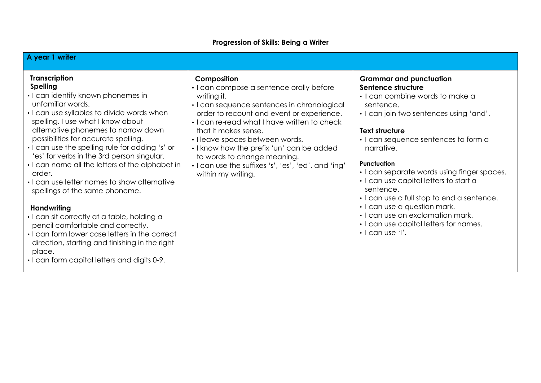# **Progression of Skills: Being a Writer**

| A year 1 writer                                                                                                                                                                                                                                                                                                                                                                                                                                                                                                                                                                                                                                                                                                                                                                              |                                                                                                                                                                                                                                                                                                                                                                                                                                        |                                                                                                                                                                                                                                                                                                                                                                                                                                                                                                                                           |
|----------------------------------------------------------------------------------------------------------------------------------------------------------------------------------------------------------------------------------------------------------------------------------------------------------------------------------------------------------------------------------------------------------------------------------------------------------------------------------------------------------------------------------------------------------------------------------------------------------------------------------------------------------------------------------------------------------------------------------------------------------------------------------------------|----------------------------------------------------------------------------------------------------------------------------------------------------------------------------------------------------------------------------------------------------------------------------------------------------------------------------------------------------------------------------------------------------------------------------------------|-------------------------------------------------------------------------------------------------------------------------------------------------------------------------------------------------------------------------------------------------------------------------------------------------------------------------------------------------------------------------------------------------------------------------------------------------------------------------------------------------------------------------------------------|
| <b>Transcription</b><br><b>Spelling</b><br>• I can identify known phonemes in<br>unfamiliar words.<br>• I can use syllables to divide words when<br>spelling. I use what I know about<br>alternative phonemes to narrow down<br>possibilities for accurate spelling.<br>• I can use the spelling rule for adding 's' or<br>'es' for verbs in the 3rd person singular.<br>. I can name all the letters of the alphabet in<br>order.<br>• I can use letter names to show alternative<br>spellings of the same phoneme.<br><b>Handwriting</b><br>• I can sit correctly at a table, holding a<br>pencil comfortable and correctly.<br>• I can form lower case letters in the correct<br>direction, starting and finishing in the right<br>place.<br>. I can form capital letters and digits 0-9. | Composition<br>• I can compose a sentence orally before<br>writing it.<br>• I can sequence sentences in chronological<br>order to recount and event or experience.<br>. I can re-read what I have written to check<br>that it makes sense.<br>· I leave spaces between words.<br>. I know how the prefix 'un' can be added<br>to words to change meaning.<br>. I can use the suffixes 's', 'es', 'ed', and 'ing'<br>within my writing. | <b>Grammar and punctuation</b><br>Sentence structure<br>• I can combine words to make a<br>sentence.<br>• I can join two sentences using 'and'.<br><b>Text structure</b><br>• I can sequence sentences to form a<br>narrative.<br>Punctuation<br>• I can separate words using finger spaces.<br>• I can use capital letters to start a<br>sentence.<br>• I can use a full stop to end a sentence.<br>• I can use a question mark.<br>• I can use an exclamation mark.<br>• I can use capital letters for names.<br>$\cdot$   can use 'l'. |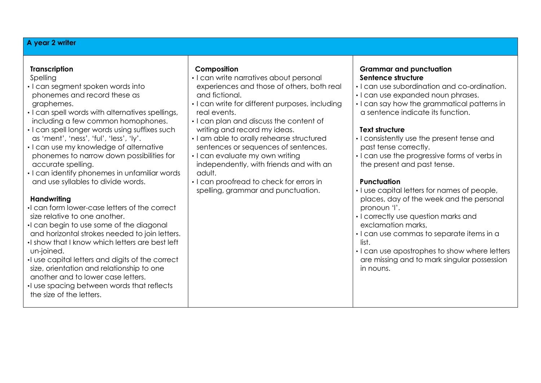## **A year 2 writer**

| <b>Transcription</b> |  |
|----------------------|--|
|                      |  |

Spelling

- I can segment spoken words into phonemes and record these as graphemes.
- I can spell words with alternatives spellings, including a few common homophones.
- I can spell longer words using suffixes such as 'ment', 'ness', 'ful', 'less', 'ly'.
- I can use my knowledge of alternative phonemes to narrow down possibilities for accurate spelling.
- I can identify phonemes in unfamiliar words and use syllables to divide words.

## **Handwriting**

- •I can form lower-case letters of the correct size relative to one another.
- •I can begin to use some of the diagonal and horizontal strokes needed to join letters.
- •I show that I know which letters are best left un-joined.
- •I use capital letters and digits of the correct size, orientation and relationship to one another and to lower case letters.
- •I use spacing between words that reflects the size of the letters.

### **Composition**

- I can write narratives about personal experiences and those of others, both real and fictional.
- I can write for different purposes, including real events.
- I can plan and discuss the content of writing and record my ideas.
- I am able to orally rehearse structured sentences or sequences of sentences.
- I can evaluate my own writing independently, with friends and with an adult.
- I can proofread to check for errors in spelling, grammar and punctuation.

## **Grammar and punctuation Sentence structure**

- I can use subordination and co-ordination.
- I can use expanded noun phrases.
- I can say how the grammatical patterns in a sentence indicate its function.

## **Text structure**

- I consistently use the present tense and past tense correctly.
- I can use the progressive forms of verbs in the present and past tense.

## **Punctuation**

- I use capital letters for names of people, places, day of the week and the personal pronoun 'I'.
- I correctly use question marks and exclamation marks,
- I can use commas to separate items in a list.
- I can use apostrophes to show where letters are missing and to mark singular possession in nouns.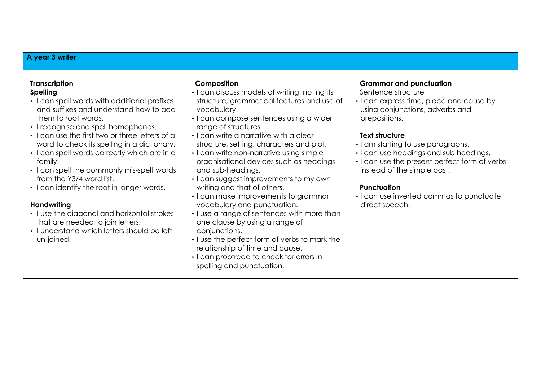|  |  |  |  |  | A year 3 writer |
|--|--|--|--|--|-----------------|
|--|--|--|--|--|-----------------|

| <b>Transcription</b><br><b>Spelling</b><br>• I can spell words with additional prefixes<br>and suffixes and understand how to add<br>them to root words.<br>• I recognise and spell homophones.<br>• I can use the first two or three letters of a<br>word to check its spelling in a dictionary.<br>• I can spell words correctly which are in a<br>family.<br>• I can spell the commonly mis-spelt words<br>from the Y3/4 word list.<br>• I can identify the root in longer words.<br>Handwriting<br>• I use the diagonal and horizontal strokes<br>that are needed to join letters.<br>• I understand which letters should be left<br>un-joined. | Composition<br>• I can discuss models of writing, noting its<br>structure, grammatical features and use of<br>vocabulary.<br>· I can compose sentences using a wider<br>range of structures.<br>• I can write a narrative with a clear<br>structure, setting, characters and plot.<br>• I can write non-narrative using simple<br>organisational devices such as headings<br>and sub-headings.<br>• I can suggest improvements to my own<br>writing and that of others.<br>• I can make improvements to grammar,<br>vocabulary and punctuation.<br>• I use a range of sentences with more than<br>one clause by using a range of<br>conjunctions.<br>. I use the perfect form of verbs to mark the<br>relationship of time and cause.<br>• I can proofread to check for errors in<br>spelling and punctuation. | <b>Grammar and punctuation</b><br>Sentence structure<br>• I can express time, place and cause by<br>using conjunctions, adverbs and<br>prepositions.<br><b>Text structure</b><br>· I am starting to use paragraphs.<br>• I can use headings and sub headings.<br>• I can use the present perfect form of verbs<br>instead of the simple past.<br><b>Punctuation</b><br>• I can use inverted commas to punctuate<br>direct speech. |
|-----------------------------------------------------------------------------------------------------------------------------------------------------------------------------------------------------------------------------------------------------------------------------------------------------------------------------------------------------------------------------------------------------------------------------------------------------------------------------------------------------------------------------------------------------------------------------------------------------------------------------------------------------|----------------------------------------------------------------------------------------------------------------------------------------------------------------------------------------------------------------------------------------------------------------------------------------------------------------------------------------------------------------------------------------------------------------------------------------------------------------------------------------------------------------------------------------------------------------------------------------------------------------------------------------------------------------------------------------------------------------------------------------------------------------------------------------------------------------|-----------------------------------------------------------------------------------------------------------------------------------------------------------------------------------------------------------------------------------------------------------------------------------------------------------------------------------------------------------------------------------------------------------------------------------|
|-----------------------------------------------------------------------------------------------------------------------------------------------------------------------------------------------------------------------------------------------------------------------------------------------------------------------------------------------------------------------------------------------------------------------------------------------------------------------------------------------------------------------------------------------------------------------------------------------------------------------------------------------------|----------------------------------------------------------------------------------------------------------------------------------------------------------------------------------------------------------------------------------------------------------------------------------------------------------------------------------------------------------------------------------------------------------------------------------------------------------------------------------------------------------------------------------------------------------------------------------------------------------------------------------------------------------------------------------------------------------------------------------------------------------------------------------------------------------------|-----------------------------------------------------------------------------------------------------------------------------------------------------------------------------------------------------------------------------------------------------------------------------------------------------------------------------------------------------------------------------------------------------------------------------------|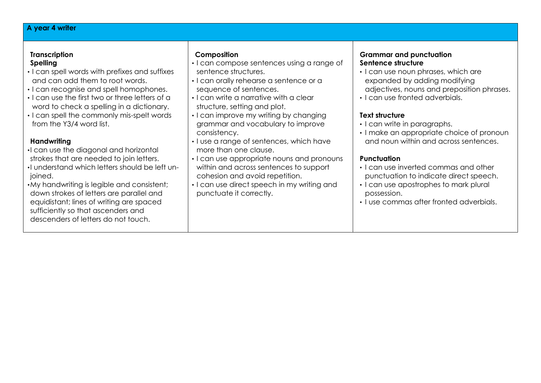## **A year 4 writer**

# **Transcription**

- **Spelling**
- I can spell words with prefixes and suffixes and can add them to root words.
- I can recognise and spell homophones.
- I can use the first two or three letters of a word to check a spelling in a dictionary.
- I can spell the commonly mis-spelt words from the Y3/4 word list.

# **Handwriting**

- •I can use the diagonal and horizontal
- strokes that are needed to join letters.
- •I understand which letters should be left unioined.
- •My handwriting is legible and consistent; down strokes of letters are parallel and equidistant; lines of writing are spaced sufficiently so that ascenders and descenders of letters do not touch.

# **Composition**

- I can compose sentences using a range of sentence structures.
- I can orally rehearse a sentence or a sequence of sentences.
- I can write a narrative with a clear structure, setting and plot.
- I can improve my writing by changing grammar and vocabulary to improve consistency.
- I use a range of sentences, which have more than one clause.
- I can use appropriate nouns and pronouns within and across sentences to support cohesion and avoid repetition.
- I can use direct speech in my writing and punctuate it correctly.

## **Grammar and punctuation Sentence structure**

- I can use noun phrases, which are expanded by adding modifying adjectives, nouns and preposition phrases.
- I can use fronted adverbials.

# **Text structure**

- I can write in paragraphs.
- I make an appropriate choice of pronoun and noun within and across sentences.

# **Punctuation**

- I can use inverted commas and other punctuation to indicate direct speech.
- I can use apostrophes to mark plural possession.
- I use commas after fronted adverbials.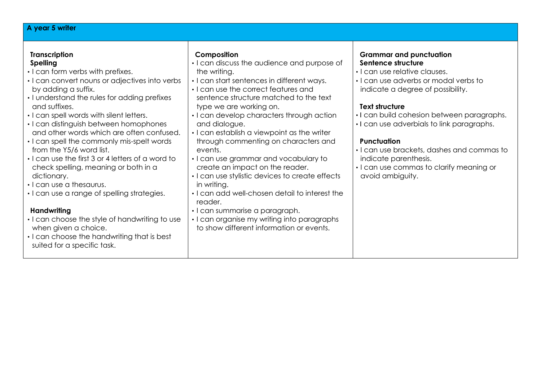| A year 5 writer                                                                                                                                                                                                                                                                                                                                                                                                                                                                                                                                                                                                                                                                                                                                                                                   |                                                                                                                                                                                                                                                                                                                                                                                                                                                                                                                                                                                                                                                                                                                                             |                                                                                                                                                                                                                                                                                                                                                                                                                                                       |
|---------------------------------------------------------------------------------------------------------------------------------------------------------------------------------------------------------------------------------------------------------------------------------------------------------------------------------------------------------------------------------------------------------------------------------------------------------------------------------------------------------------------------------------------------------------------------------------------------------------------------------------------------------------------------------------------------------------------------------------------------------------------------------------------------|---------------------------------------------------------------------------------------------------------------------------------------------------------------------------------------------------------------------------------------------------------------------------------------------------------------------------------------------------------------------------------------------------------------------------------------------------------------------------------------------------------------------------------------------------------------------------------------------------------------------------------------------------------------------------------------------------------------------------------------------|-------------------------------------------------------------------------------------------------------------------------------------------------------------------------------------------------------------------------------------------------------------------------------------------------------------------------------------------------------------------------------------------------------------------------------------------------------|
| <b>Transcription</b><br><b>Spelling</b><br>• I can form verbs with prefixes.<br>• I can convert nouns or adjectives into verbs<br>by adding a suffix.<br>• I understand the rules for adding prefixes<br>and suffixes.<br>• I can spell words with silent letters.<br>• I can distinguish between homophones<br>and other words which are often confused.<br>• I can spell the commonly mis-spelt words<br>from the Y5/6 word list.<br>. I can use the first 3 or 4 letters of a word to<br>check spelling, meaning or both in a<br>dictionary.<br>· I can use a thesaurus.<br>• I can use a range of spelling strategies.<br>Handwriting<br>• I can choose the style of handwriting to use<br>when given a choice.<br>• I can choose the handwriting that is best<br>suited for a specific task. | Composition<br>• I can discuss the audience and purpose of<br>the writing.<br>• I can start sentences in different ways.<br>• I can use the correct features and<br>sentence structure matched to the text<br>type we are working on.<br>• I can develop characters through action<br>and dialogue.<br>• I can establish a viewpoint as the writer<br>through commenting on characters and<br>events.<br>• I can use grammar and vocabulary to<br>create an impact on the reader.<br>I can use stylistic devices to create effects<br>in writing.<br>. I can add well-chosen detail to interest the<br>reader.<br>· I can summarise a paragraph.<br>• I can organise my writing into paragraphs<br>to show different information or events. | <b>Grammar and punctuation</b><br>Sentence structure<br>• I can use relative clauses.<br>. I can use adverbs or modal verbs to<br>indicate a degree of possibility.<br><b>Text structure</b><br>. I can build cohesion between paragraphs.<br>. I can use adverbials to link paragraphs.<br><b>Punctuation</b><br>• I can use brackets, dashes and commas to<br>indicate parenthesis.<br>• I can use commas to clarify meaning or<br>avoid ambiguity. |